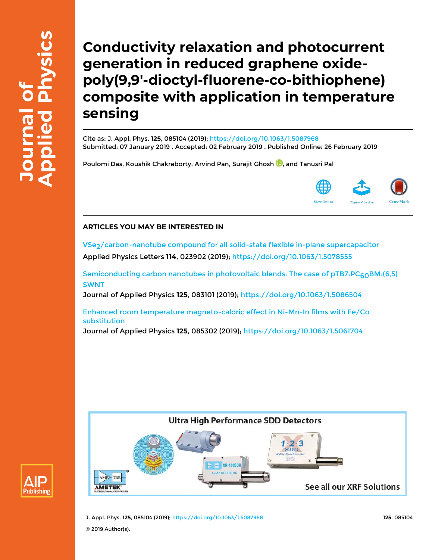**Conductivity relaxation and photocurrent generation in reduced graphene oxidepoly(9,9′-dioctyl-fluorene-co-bithiophene) composite with application in temperature sensing**

Cite as: J. Appl. Phys. **125**, 085104 (2019); https://doi.org/10.1063/1.5087968 Submitted: 07 January 2019 . Accepted: 02 February 2019 . Published Online: 26 February 2019

Poulomi Das, Koushik Chakraborty, Arvind Pan, Surajit Ghosh **D**, and Tanusri Pal



## **ARTICLES YOU MAY BE INTERESTED IN**

VSe<sub>2</sub>/carbon-nanotube compound for all solid-state flexible in-plane supercapacitor Applied Physics Letters **114**, 023902 (2019); https://doi.org/10.1063/1.5078555

Semiconducting carbon nanotubes in photovoltaic blends: The case of  $pTB7:PC_{60}BM:(6,5)$ SWNT

Journal of Applied Physics **125**, 083101 (2019); https://doi.org/10.1063/1.5086504

Enhanced room temperature magneto-caloric effect in Ni-Mn-In films with Fe/Co substitution

Journal of Applied Physics **125**, 085302 (2019); https://doi.org/10.1063/1.5061704





J. Appl. Phys. **125**, 085104 (2019); https://doi.org/10.1063/1.5087968 **125**, 085104

© 2019 Author(s).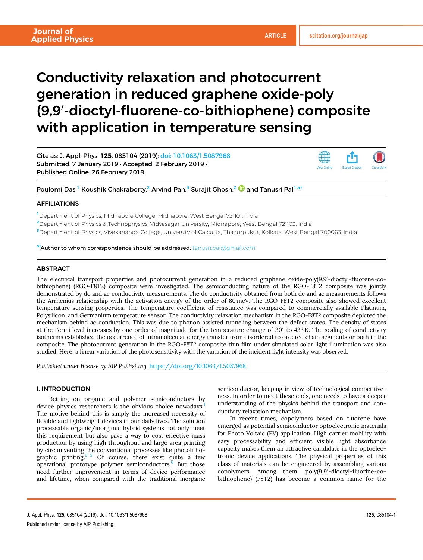View Online

# Conductivity relaxation and photocurrent generation in reduced graphene oxide-poly (9,9'-dioctyl-fluorene-co-bithiophene) composite with application in temperature sensing

Cite as: J. Appl. Phys. 125, 085104 (2019); doi: 10.1063/1.5087968 Submitted: 7 January 2019 · Accepted: 2 February 2019 · Published Online: 26 February 2019

Poulomi Das,<sup>1</sup> Koushik Chakraborty,<sup>2</sup> Arvind Pan,<sup>3</sup> Surajit Ghosh,<sup>2 (D</sup> and Tanusri Pal<sup>1,a)</sup>

## **AFFILIATIONS**

<sup>1</sup> Department of Physics, Midnapore College, Midnapore, West Bengal 721101, India

<sup>2</sup>Department of Physics & Technophysics, Vidyasagar University, Midnapore, West Bengal 721102, India

<sup>3</sup>Department of Physics, Vivekananda College, University of Calcutta, Thakurpukur, Kolkata, West Bengal 700063, India

a)Author to whom correspondence should be addressed: tanusri.pal@gmail.com

## **ABSTRACT**

The electrical transport properties and photocurrent generation in a reduced graphene oxide-poly(9,9'-dioctyl-fluorene-cobithiophene) (RGO-F8T2) composite were investigated. The semiconducting nature of the RGO-F8T2 composite was jointly demonstrated by dc and ac conductivity measurements. The dc conductivity obtained from both dc and ac measurements follows the Arrhenius relationship with the activation energy of the order of 80 meV. The RGO-F8T2 composite also showed excellent temperature sensing properties. The temperature coefficient of resistance was compared to commercially available Platinum, Polysilicon, and Germanium temperature sensor. The conductivity relaxation mechanism in the RGO-F8T2 composite depicted the mechanism behind ac conduction. This was due to phonon assisted tunneling between the defect states. The density of states at the Fermi level increases by one order of magnitude for the temperature change of 301 to 433 K. The scaling of conductivity isotherms established the occurrence of intramolecular energy transfer from disordered to ordered chain segments or both in the composite. The photocurrent generation in the RGO-F8T2 composite thin film under simulated solar light illumination was also studied. Here, a linear variation of the photosensitivity with the variation of the incident light intensity was observed.

Published under license by AIP Publishing. https://doi.org/10.1063/1.5087968

## I. INTRODUCTION

Betting on organic and polymer semiconductors by device physics researchers is the obvious choice nowadays.<sup>1</sup> The motive behind this is simply the increased necessity of flexible and lightweight devices in our daily lives. The solution processable organic/inorganic hybrid systems not only meet this requirement but also pave a way to cost effective mass production by using high throughput and large area printing by circumventing the conventional processes like photolithographic printing.<sup>2–5</sup> Of course, there exist quite a few operational prototype polymer semiconductors. $\hat{6}$  But those need further improvement in terms of device performance and lifetime, when compared with the traditional inorganic

semiconductor, keeping in view of technological competitiveness. In order to meet these ends, one needs to have a deeper understanding of the physics behind the transport and conductivity relaxation mechanism.

In recent times, copolymers based on fluorene have emerged as potential semiconductor optoelectronic materials for Photo Voltaic (PV) application. High carrier mobility with easy processability and efficient visible light absorbance capacity makes them an attractive candidate in the optoelectronic device applications. The physical properties of this class of materials can be engineered by assembling various copolymers. Among them, poly(9,9'-dioctyl-fluorine-cobithiophene) (F8T2) has become a common name for the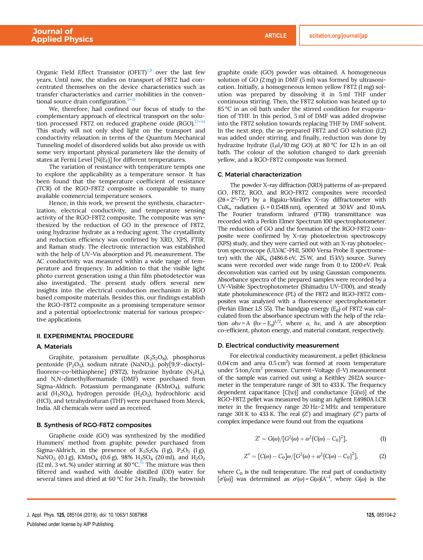Organic Field Effect Transistor (OFET)<sup>7,8</sup> over the last few years. Until now, the studies on transport of F8T2 had concentrated themselves on the device characteristics such as transfer characteristics and carrier mobilities in the conventional source drain configuration.<sup>9-1</sup>

We, therefore, had confined our focus of study to the complementary approach of electrical transport on the solution processed F8T2 on reduced graphene oxide (RGO). $12-14$ This study will not only shed light on the transport and conductivity relaxation in terms of the Quantum Mechanical Tunneling model of disordered solids but also provide us with some very important physical parameters like the density of states at Fermi Level  $[N(E_F)]$  for different temperatures.

The variation of resistance with temperature tempts one to explore the applicability as a temperature sensor. It has been found that the temperature coefficient of resistance (TCR) of the RGO-F8T2 composite is comparable to many available commercial temperature sensors.

Hence, in this work, we present the synthesis, characterization, electrical conductivity, and temperature sensing activity of the RGO-F8T2 composite. The composite was synthesized by the reduction of GO in the presence of F8T2, using hydrazine hydrate as a reducing agent. The crystallinity and reduction efficiency was confirmed by XRD, XPS, FTIR, and Raman study. The electronic interaction was established with the help of UV-Vis absorption and PL measurement. The AC conductivity was measured within a wide range of temperature and frequency. In addition to that the visible light photo current generation using a thin film photodetector was also investigated. The present study offers several new insights into the electrical conduction mechanism in RGO based composite materials. Besides this, our findings establish the RGO-F8T2 composite as a promising temperature sensor and a potential optoelectronic material for various prospective applications.

## II. EXPERIMENTAL PROCEDURE

#### A. Materials

Graphite, potassium persulfate  $(K_2S_2O_8)$ , phosphorus pentoxide (P<sub>2</sub>O<sub>5</sub>), sodium nitrate (NaNO<sub>3</sub>), poly[9,9'-dioctylfluorene-co-bithiophene] (F8T2), hydrazine hydrate  $(N_2H_4)$ , and N,N-dimethylformamide (DMF) were purchased from Sigma-Aldrich. Potassium permanganate  $(KMnO<sub>4</sub>)$ , sulfuric acid (H<sub>2</sub>SO<sub>4</sub>), hydrogen peroxide (H<sub>2</sub>O<sub>2</sub>), hydrochloric acid (HCl), and tetrahydrofuran (THF) were purchased from Merck, India. All chemicals were used as received.

#### B. Synthesis of RGO-F8T2 composites

Graphene oxide (GO) was synthesized by the modified Hummers' method from graphite powder purchased from Sigma-Aldrich, in the presence of  $K_2S_2O_8$  (1g),  $P_2O_5$  (1g), NaNO<sub>3</sub> (0.1 g), KMnO<sub>4</sub> (0.6 g), 98% H<sub>2</sub>SO<sub>4</sub> (20 ml), and H<sub>2</sub>O<sub>2</sub> (12 ml, 3 wt. %) under stirring at 80  $^{\circ}$ C.<sup>15</sup> The mixture was then filtered and washed with double distilled (DD) water for several times and dried at 60 °C for 24 h. Finally, the brownish

graphite oxide (GO) powder was obtained. A homogeneous solution of GO (2 mg) in DMF (5 ml) was formed by ultrasonication. Initially, a homogeneous lemon yellow F8T2 (1 mg) solution was prepared by dissolving it in 5 ml THF under continuous stirring. Then, the F8T2 solution was heated up to 85 °C in an oil bath under the stirred condition for evaporation of THF. In this period, 5 ml of DMF was added dropwise into the F8T2 solution towards replacing THF by DMF solvent. In the next step, the as-prepared F8T2 and GO solution (1:2) was added under stirring, and finally, reduction was done by hydrazine hydrate (1µl/10 mg GO) at 80 °C for 12 h in an oil bath. The colour of the solution changed to dark greenish yellow, and a RGO-F8T2 composite was formed.

#### C. Material characterization

The powder X-ray diffraction (XRD) patterns of as-prepared GO, F8T2, RGO, and RGO-F8T2 composites were recorded  $(2\theta = 2^{\circ}-70^{\circ})$  by a Rigaku-Miniflex X-ray diffractometer with CuK<sub>α</sub> radiation ( $\lambda$  = 0.15418 nm), operated at 30 kV and 10 mA. The Fourier transform infrared (FTIR) transmittance was recorded with a Perkin Elmer Spectrum 100 spectrophotometer. The reduction of GO and the formation of the RGO-F8T2 composite were confirmed by X-ray photoelectron spectroscopy (XPS) study, and they were carried out with an X-ray photoelectron spectroscope (ULVAC-PHI, 5000 Versa Probe II spectrometer) with the  $\text{AlK}_{\alpha}$  (1486.6 eV, 25 W, and 15 kV) source. Survey scans were recorded over wide range from 0 to 1200 eV. Peak deconvolution was carried out by using Gaussian components. Absorbance spectra of the prepared samples were recorded by a UV-Visible Spectrophotometer (Shimadzu UV-1700), and steady state photoluminescence (PL) of the F8T2 and RGO-F8T2 composites was analyzed with a fluorescence spectrophotometer (Perkin Elmer LS 55). The bandgap energy  $(E_g)$  of F8T2 was calculated from the absorbance spectrum with the help of the relation  $\alpha h v = A (h v - E_g)^{1/2}$ , where  $\alpha$ ,  $h v$ , and A are absorption co-efficient, photon energy, and material constant, respectively.

#### D. Electrical conductivity measurement

For electrical conductivity measurement, a pellet (thickness  $0.04$  cm and area  $0.5$  cm<sup>2</sup>) was formed at room temperature under 5 ton/cm<sup>2</sup> pressure. Current-Voltage (I-V) measurement of the sample was carried out using a Keithley 2612A sourcemeter in the temperature range of 301 to 433 K. The frequency dependent capacitance  $[C(w)]$  and conductance  $[G(w)]$  of the RGO-F8T2 pellet was measured by using an Agilent E4980A LCR meter in the frequency range 20 Hz–2 MHz and temperature range 301 K to 433 K. The real  $(Z')$  and imaginary  $(Z'')$  parts of complex impedance were found out from the equations

$$
Z' = G(\omega)/[G^{2}(\omega) + \omega^{2}{C(\omega) - C_{0}}^{2}], \qquad (1)
$$

$$
Z'' = [C(\omega) - C_0]\omega/[G^2(\omega) + \omega^2{C(\omega) - C_0}^2],
$$
 (2)

where  $C_0$  is the null temperature. The real part of conductivity [ $\sigma'(\omega)$ ] was determined as  $\sigma'(\omega) = G(\omega)lA^{-1}$ , where  $G(\omega)$  is the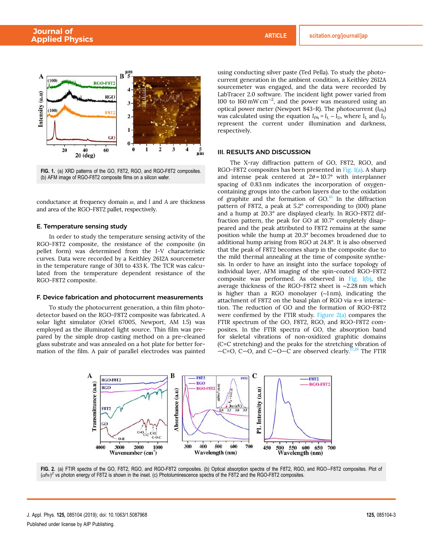

FIG. 1. (a) XRD patterns of the GO, F8T2, RGO, and RGO-F8T2 composites. (b) AFM image of RGO-F8T2 composite films on a silicon wafer.

conductance at frequency domain  $\omega$ , and  $l$  and  $A$  are thickness and area of the RGO-F8T2 pallet, respectively.

#### E. Temperature sensing study

In order to study the temperature sensing activity of the RGO-F8T2 composite, the resistance of the composite (in pellet form) was determined from the I-V characteristic curves. Data were recorded by a Keithley 2612A sourcemeter in the temperature range of 301 to 433 K. The TCR was calculated from the temperature dependent resistance of the RGO-F8T2 composite.

#### F. Device fabrication and photocurrent measurements

To study the photocurrent generation, a thin film photodetector based on the RGO-F8T2 composite was fabricated. A solar light simulator (Oriel 67005, Newport, AM 1.5) was employed as the illuminated light source. Thin film was prepared by the simple drop casting method on a pre-cleaned glass substrate and was annealed on a hot plate for better formation of the film. A pair of parallel electrodes was painted using conducting silver paste (Ted Pella). To study the photocurrent generation in the ambient condition, a Keithley 2612A sourcemeter was engaged, and the data were recorded by LabTracer 2.0 software. The incident light power varied from 100 to 160 mW cm−<sup>2</sup> , and the power was measured using an optical power meter (Newport 843-R). The photocurrent  $(I_{\text{Ph}})$ was calculated using the equation  $I_{Ph} = I_L - I_D$ , where  $I_L$  and  $I_D$ represent the current under illumination and darkness, respectively.

#### III. RESULTS AND DISCUSSION

The X-ray diffraction pattern of GO, F8T2, RGO, and RGO-F8T2 composites has been presented in Fig. 1(a). A sharp and intense peak centered at  $2\theta = 10.7^\circ$  with interplanner spacing of 0.83 nm indicates the incorporation of oxygencontaining groups into the carbon layers due to the oxidation of graphite and the formation of  $GO$ .<sup>16</sup> In the diffraction pattern of F8T2, a peak at 5.2° corresponding to (100) plane and a hump at 20.3° are displayed clearly. In RGO-F8T2 diffraction pattern, the peak for GO at 10.7° completely disappeared and the peak attributed to F8T2 remains at the same position while the hump at 20.3° becomes broadened due to additional hump arising from RGO at 24.8°. It is also observed that the peak of F8T2 becomes sharp in the composite due to the mild thermal annealing at the time of composite synthesis. In order to have an insight into the surface topology of individual layer, AFM imaging of the spin-coated RGO-F8T2 composite was performed. As observed in Fig. 1(b), the average thickness of the RGO-F8T2 sheet is ∼2.28 nm which is higher than a RGO monolayer (∼1 nm), indicating the attachment of F8T2 on the basal plan of RGO via  $\pi$ - $\pi$  interaction. The reduction of GO and the formation of RGO-F8T2 were confirmed by the FTIR study. Figure  $2(a)$  compares the FTIR spectrum of the GO, F8T2, RGO, and RGO-F8T2 composites. In the FTIR spectra of GO, the absorption band for skeletal vibrations of non-oxidized graphitic domains (C=C stretching) and the peaks for the stretching vibration of  $-C=O$ , C-O, and C-O-C are observed clearly.<sup>17,18</sup> The FTIR



FIG. 2. (a) FTIR spectra of the GO, F8T2, RGO, and RGO-F8T2 composites. (b) Optical absorption spectra of the F8T2, RGO, and RGO−F8T2 composites. Plot of  $(c/hv)^2$  vs photon energy of F8T2 is shown in the inset. (c) Photoluminescence spectra of the F8T2 and the RGO-F8T2 composites.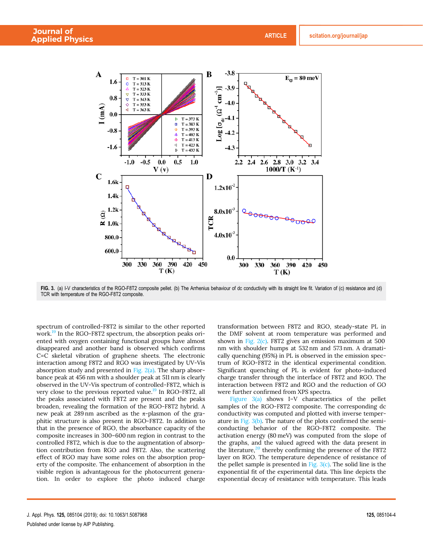

FIG. 3. (a) I-V characteristics of the RGO-F8T2 composite pellet. (b) The Arrhenius behaviour of dc conductivity with its straight line fit. Variation of (c) resistance and (d) TCR with temperature of the RGO-F8T2 composite.

spectrum of controlled-F8T2 is similar to the other reported work.<sup>19</sup> In the RGO-F8T2 spectrum, the absorption peaks oriented with oxygen containing functional groups have almost disappeared and another band is observed which confirms C=C skeletal vibration of graphene sheets. The electronic interaction among F8T2 and RGO was investigated by UV-Vis absorption study and presented in Fig.  $2(a)$ . The sharp absorbance peak at 456 nm with a shoulder peak at 511 nm is clearly observed in the UV-Vis spectrum of controlled-F8T2, which is very close to the previous reported value.<sup>19</sup> In RGO-F8T2, all the peaks associated with F8T2 are present and the peaks broaden, revealing the formation of the RGO-F8T2 hybrid. A new peak at 289 nm ascribed as the  $π$ -plasmon of the graphitic structure is also present in RGO-F8T2. In addition to that in the presence of RGO, the absorbance capacity of the composite increases in 300–600 nm region in contrast to the controlled F8T2, which is due to the augmentation of absorption contribution from RGO and F8T2. Also, the scattering effect of RGO may have some roles on the absorption property of the composite. The enhancement of absorption in the visible region is advantageous for the photocurrent generation. In order to explore the photo induced charge

transformation between F8T2 and RGO, steady-state PL in the DMF solvent at room temperature was performed and shown in Fig.  $2(c)$ . F8T2 gives an emission maximum at 500 nm with shoulder humps at 532 nm and 573 nm. A dramatically quenching (95%) in PL is observed in the emission spectrum of RGO-F8T2 in the identical experimental condition. Significant quenching of PL is evident for photo-induced charge transfer through the interface of F8T2 and RGO. The interaction between F8T2 and RGO and the reduction of GO were further confirmed from XPS spectra.

Figure 3(a) shows I–V characteristics of the pellet samples of the RGO-F8T2 composite. The corresponding dc conductivity was computed and plotted with inverse temperature in Fig. 3(b). The nature of the plots confirmed the semiconducting behavior of the RGO-F8T2 composite. The activation energy (80 meV) was computed from the slope of the graphs, and the valued agreed with the data present in the literature, $20$  thereby confirming the presence of the F8T2 layer on RGO. The temperature dependence of resistance of the pellet sample is presented in Fig.  $3(c)$ . The solid line is the exponential fit of the experimental data. This line depicts the exponential decay of resistance with temperature. This leads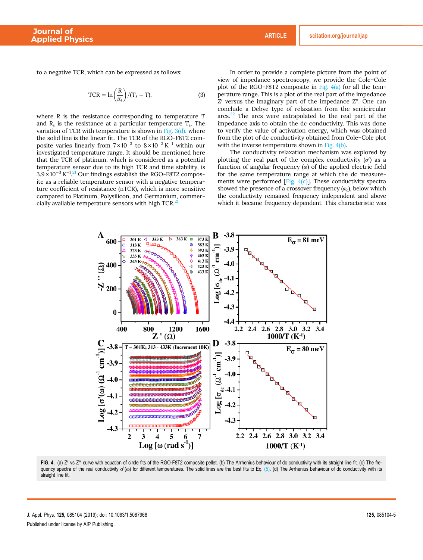to a negative TCR, which can be expressed as follows:

$$
TCR = \ln\left(\frac{R}{R_s}\right) / (T_s - T),\tag{3}
$$

where R is the resistance corresponding to temperature T and  $R_s$  is the resistance at a particular temperature  $T_s$ . The variation of TCR with temperature is shown in Fig. 3(d), where the solid line is the linear fit. The TCR of the RGO-F8T2 composite varies linearly from  $7 \times 10^{-3}$  to  $8 \times 10^{-3}$  K<sup>-1</sup> within our investigated temperature range. It should be mentioned here that the TCR of platinum, which is considered as a potential temperature sensor due to its high TCR and time stability, is 3.9 × 10−<sup>3</sup> K −1 . <sup>21</sup> Our findings establish the RGO-F8T2 composite as a reliable temperature sensor with a negative temperature coefficient of resistance (nTCR), which is more sensitive compared to Platinum, Polysilicon, and Germanium, commercially available temperature sensors with high TCR.<sup>21</sup>

In order to provide a complete picture from the point of view of impedance spectroscopy, we provide the Cole–Cole plot of the RGO-F8T2 composite in Fig. 4(a) for all the temperature range. This is a plot of the real part of the impedance Z' versus the imaginary part of the impedance Z". One can conclude a Debye type of relaxation from the semicircular arcs.<sup>22</sup> The arcs were extrapolated to the real part of the impedance axis to obtain the dc conductivity. This was done to verify the value of activation energy, which was obtained from the plot of dc conductivity obtained from Cole–Cole plot with the inverse temperature shown in Fig. 4(b).

The conductivity relaxation mechanism was explored by plotting the real part of the complex conductivity  $(\sigma)$  as a function of angular frequency  $(\omega)$  of the applied electric field for the same temperature range at which the dc measurements were performed [Fig. 4(c)]. These conductivity spectra showed the presence of a crossover frequency ( $\omega_c$ ), below which the conductivity remained frequency independent and above which it became frequency dependent. This characteristic was



FIG. 4. (a) Z' vs Z" curve with equation of circle fits of the RGO-F8T2 composite pellet. (b) The Arrhenius behaviour of dc conductivity with its straight line fit. (c) The frequency spectra of the real conductivity σ'(ω) for different temperatures. The solid lines are the best fits to Eq. (5). (d) The Arrhenius behaviour of dc conductivity with its straight line fit.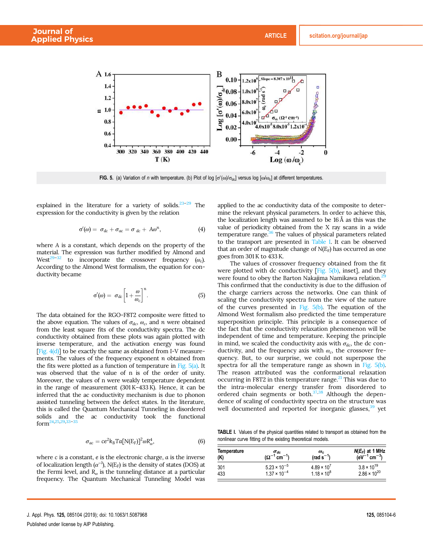

FIG. 5. (a) Variation of *n* with temperature. (b) Plot of log [ $\sigma'(\omega)/\sigma_{dc}$ ] versus log [ $\omega/\omega_c$ ] at different temperatures.

explained in the literature for a variety of solids. $23-29$  The expression for the conductivity is given by the relation

$$
\sigma'(\omega) = \sigma_{dc} + \sigma_{ac} = \sigma_{dc} + A\omega^n, \qquad (4)
$$

where A is a constant, which depends on the property of the material. The expression was further modified by Almond and West<sup>29-32</sup> to incorporate the crossover frequency  $(\omega_c)$ . According to the Almond West formalism, the equation for conductivity became

$$
\sigma'(\omega) = \sigma_{dc} \left[ 1 + \frac{\omega}{\omega_c} \right]^n.
$$
 (5)

The data obtained for the RGO-F8T2 composite were fitted to the above equation. The values of  $\sigma_{dc}$ ,  $\omega_c$ , and n were obtained from the least square fits of the conductivity spectra. The dc conductivity obtained from these plots was again plotted with inverse temperature, and the activation energy was found [Fig. 4(d)] to be exactly the same as obtained from I-V measurements. The values of the frequency exponent n obtained from the fits were plotted as a function of temperature in Fig.  $5(a)$ . It was observed that the value of n is of the order of unity. Moreover, the values of n were weakly temperature dependent in the range of measurement (301 K–433 K). Hence, it can be inferred that the ac conductivity mechanism is due to phonon assisted tunneling between the defect states. In the literature, this is called the Quantum Mechanical Tunneling in disordered solids and the ac conductivity took the functional form $2$ 

$$
\sigma_{ac} = ce^2 k_B T a [N(E_F)]^2 \omega R_{\omega}^4, \qquad (6)
$$

where c is a constant, e is the electronic charge, a is the inverse of localization length  $(\alpha^{-1})$ , N(E<sub>F</sub>) is the density of states (DOS) at the Fermi level, and  $R_{\omega}$  is the tunneling distance at a particular frequency. The Quantum Mechanical Tunneling Model was applied to the ac conductivity data of the composite to determine the relevant physical parameters. In order to achieve this, the localization length was assumed to be 16 Å as this was the value of periodicity obtained from the X ray scans in a wide temperature range.<sup>36</sup> The values of physical parameters related to the transport are presented in Table I. It can be observed that an order of magnitude change of  $N(E_F)$  has occurred as one goes from 301 K to 433 K.

The values of crossover frequency obtained from the fit were plotted with dc conductivity  $[Fig. 5(b)]$ , inset], and they were found to obey the Barton Nakajima Namikawa relation.<sup>2</sup> This confirmed that the conductivity is due to the diffusion of the charge carriers across the networks. One can think of scaling the conductivity spectra from the view of the nature of the curves presented in Fig. 5(b). The equation of the Almond West formalism also predicted the time temperature superposition principle. This principle is a consequence of the fact that the conductivity relaxation phenomenon will be independent of time and temperature. Keeping the principle in mind, we scaled the conductivity axis with  $\sigma_{dc}$ , the dc conductivity, and the frequency axis with  $\omega_c$ , the crossover frequency. But, to our surprise, we could not superpose the spectra for all the temperature range as shown in Fig. 5(b). The reason attributed was the conformational relaxation occurring in F8T2 in this temperature range. $^{21}$  This was due to the intra-molecular energy transfer from disordered to ordered chain segments or both. $37,38$  Although the dependence of scaling of conductivity spectra on the structure was well documented and reported for inorganic glasses,<sup>39</sup> yet

TABLE I. Values of the physical quantities related to transport as obtained from the nonlinear curve fitting of the existing theoretical models.

| <b>Temperature</b> | $\sigma_{dc}$                     | $\boldsymbol{\omega_c}$ | $N(E_F)$ at 1 MHz             |
|--------------------|-----------------------------------|-------------------------|-------------------------------|
| (K)                | $(\Omega^{-1}$ cm <sup>-1</sup> ) | (rad $s^{-1}$ )         | $(eV^{-1}$ cm <sup>-3</sup> ) |
| 301                | $5.23 \times 10^{-5}$             | $4.89 \times 10^{7}$    | $3.8 \times 10^{19}$          |
| 433                | $1.37 \times 10^{-4}$             | $1.18 \times 10^8$      | $2.86 \times 10^{20}$         |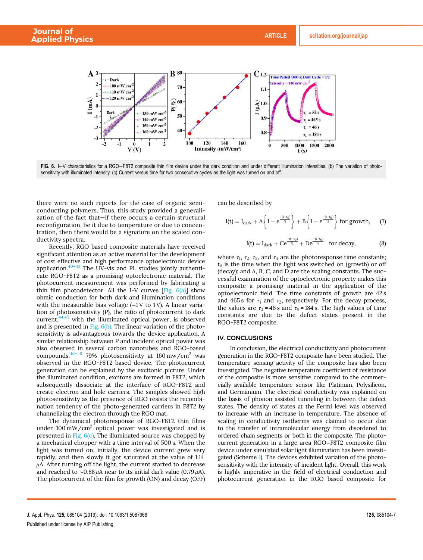

FIG. 6. I−V characteristics for a RGO−F8T2 composite thin film device under the dark condition and under different illumination intensities. (b) The variation of photosensitivity with illuminated intensity. (c) Current versus time for two consecutive cycles as the light was turned on and off.

there were no such reports for the case of organic semiconducting polymers. Thus, this study provided a generalization of the fact that—if there occurs a certain structural reconfiguration, be it due to temperature or due to concentration, then there would be a signature on the scaled conductivity spectra.

Recently, RGO based composite materials have received significant attention as an active material for the development of cost effective and high performance optoelectronic device application. $40-43$  The UV-vis and PL studies jointly authenticate RGO-F8T2 as a promising optoelectronic material. The photocurrent measurement was performed by fabricating a thin film photodetector. All the I-V curves  $[Fig. 6(a)]$  show ohmic conduction for both dark and illumination conditions with the measurable bias voltage (-1V to 1V). A linear variation of photosensitivity (P), the ratio of photocurrent to dark current, $44,45$  with the illuminated optical power, is observed and is presented in Fig. 6(b). The linear variation of the photosensitivity is advantageous towards the device application. A similar relationship between P and incident optical power was also observed in several carbon nanotubes and RGO-based compounds.<sup>46–48</sup> 79% photosensitivity at 160 mw/cm<sup>2</sup> was observed in the RGO-F8T2 based device. The photocurrent generation can be explained by the excitonic picture. Under the illuminated condition, excitons are formed in F8T2, which subsequently dissociate at the interface of RGO-F8T2 and create electron and hole carriers. The samples showed high photosensitivity as the presence of RGO resists the recombination tendency of the photo-generated carriers in F8T2 by channelizing the electron through the RGO mat.

The dynamical photoresponse of RGO-F8T2 thin films under  $100 \text{ mW/cm}^2$  optical power was investigated and is presented in Fig.  $6(c)$ . The illuminated source was chopped by a mechanical chopper with a time interval of 500 s. When the light was turned on, initially, the device current grew very rapidly, and then slowly it got saturated at the value of 1.14  $\mu$ A. After turning off the light, the current started to decrease and reached to ~0.88  $\mu$ A near to its initial dark value (0.79  $\mu$ A). The photocurrent of the film for growth (ON) and decay (OFF) can be described by

$$
I(t) = I_{dark} + A \left\{ 1 - e^{\frac{-(t-t_0)}{\tau_1}} \right\} + B \left\{ 1 - e^{\frac{-(t-t_0)}{\tau_2}} \right\} \text{ for growth}, \quad (7)
$$

$$
I(t) = I_{dark} + Ce^{\frac{-(t-t_0)}{\tau_3}} + De^{\frac{-(t-t_0)}{\tau_4}} \text{ for decay,}
$$
 (8)

where  $\tau_1$ ,  $\tau_2$ ,  $\tau_3$ , and  $\tau_4$  are the photoresponse time constants;  $t_0$  is the time when the light was switched on (growth) or off (decay); and A, B, C, and D are the scaling constants. The successful examination of the optoelectronic property makes this composite a promising material in the application of the optoelectronic field. The time constants of growth are 42 s and 465 s for  $\tau_1$  and  $\tau_2$ , respectively. For the decay process, the values are  $\tau_3 = 46$  s and  $\tau_4 = 184$  s. The high values of time constants are due to the defect states present in the RGO-F8T2 composite.

#### IV. CONCLUSIONS

In conclusion, the electrical conductivity and photocurrent generation in the RGO-F8T2 composite have been studied. The temperature sensing activity of the composite has also been investigated. The negative temperature coefficient of resistance of the composite is more sensitive compared to the commercially available temperature sensor like Platinum, Polysilicon, and Germanium. The electrical conductivity was explained on the basis of phonon assisted tunneling in between the defect states. The density of states at the Fermi level was observed to increase with an increase in temperature. The absence of scaling in conductivity isotherms was claimed to occur due to the transfer of intramolecular energy from disordered to ordered chain segments or both in the composite. The photocurrent generation in a large area RGO−F8T2 composite film device under simulated solar light illumination has been investigated (Scheme 1). The devices exhibited variation of the photosensitivity with the intensity of incident light. Overall, this work is highly imperative in the field of electrical conduction and photocurrent generation in the RGO based composite for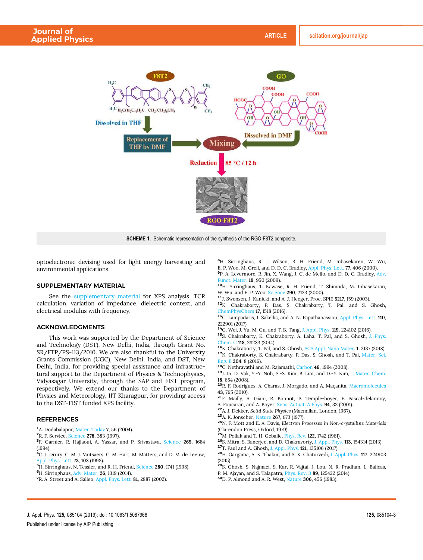

SCHEME 1. Schematic representation of the synthesis of the RGO-F8T2 composite.

optoelectronic devising used for light energy harvesting and environmental applications.

## SUPPLEMENTARY MATERIAL

See the supplementary material for XPS analysis, TCR calculation, variation of impedance, dielectric context, and electrical modulus with frequency.

#### ACKNOWLEDGMENTS

This work was supported by the Department of Science and Technology (DST), New Delhi, India, through Grant No. SR/FTP/PS-113/2010. We are also thankful to the University Grants Commission (UGC), New Delhi, India, and DST, New Delhi, India, for providing special assistance and infrastructural support to the Department of Physics & Technophysics, Vidyasagar University, through the SAP and FIST program, respectively. We extend our thanks to the Department of Physics and Meteorology, IIT Kharagpur, for providing access to the DST-FIST funded XPS facility.

#### REFERENCES

- <sup>1</sup>A. Dodabalapur, Mater. Today 7, 56 (2004).
- <sup>2</sup>R. F. Service, Science 278, 383 (1997).

<sup>3</sup>F. Garnier, R. Hajlaoui, A. Yassar, and P. Srivastava, Science 265, 1684 (1994).

<sup>4</sup>C. J. Drury, C. M. J. Mutsaers, C. M. Hart, M. Matters, and D. M. de Leeuw, Appl. Phys. Lett. 73, 108 (1998).

- <sup>5</sup>H. Sirringhaus, N. Tessler, and R. H. Friend, Science 280, 1741 (1998).
- <sup>6</sup>H. Sirringhaus, Adv. Mater. 26, 1319 (2014).
- 7R. A. Street and A. Salleo, Appl. Phys. Lett. 81, 2887 (2002).

<sup>8</sup>H. Sirringhaus, R. J. Wilson, R. H. Friend, M. Inbasekaren, W. Wu, E. P. Woo, M. Grell, and D. D. C. Bradley, Appl. Phys. Lett. 77, 406 (2000). 9 P. A. Levermore, R. Jin, X. Wang, J. C. de Mello, and D. D. C. Bradley, Adv. Funct. Mater. 19, 950 (2009).

<sup>10</sup>H. Sirringhaus, T. Kawase, R. H. Friend, T. Shimoda, M. Inbasekaran, W. Wu, and E. P. Woo, Science 290, 2123 (2000).

<sup>11</sup>J. Swensen, J. Kanicki, and A. J. Heeger, Proc. SPIE 5217, 159 (2003).

<sup>12</sup>K. Chakraborty, P. Das, S. Chakrabarty, T. Pal, and S. Ghosh, ChemPhysChem 17, 1518 (2016).

<sup>13</sup>C. Lampadaris, I. Sakellis, and A. N. Papathanassiou, Appl. Phys. Lett. **110**, 222901 (2017).

<sup>14</sup>G. Wei, J. Yu, M. Gu, and T. B. Tang, J. Appl. Phys. 119, 224102 (2016).

<sup>15</sup>S. Chakrabarty, K. Chakraborty, A. Laha, T. Pal, and S. Ghosh, J. Phys. Chem. C 118, 28283 (2014).

<sup>16</sup>K. Chakraborty, T. Pal, and S. Ghosh, ACS Appl. Nano Mater. 1, 3137 (2018). <sup>17</sup>K. Chakraborty, S. Chakrabarty, P. Das, S. Ghosh, and T. Pal, Mater. Sci. Eng. B 204, 8 (2016).

<sup>18</sup>C. Nethravathi and M. Rajamathi, Carbon 46, 1994 (2008).

<sup>19</sup>J. Jo, D. Vak, Y.-Y. Noh, S.-S. Kim, B. Lim, and D.-Y. Kim, J. Mater. Chem. 18, 654 (2008).

<sup>20</sup>R. F. Rodrigues, A. Charas, J. Morgado, and A. Maçanita, Macromolecules 43, 765 (2010).

<sup>21</sup>F. Mailly, A. Giani, R. Bonnot, P. Temple-boyer, F. Pascal-delannoy, A. Foucaran, and A. Boyer, Sens. Actuat. A Phys. 94, 32 (2001).

- <sup>22</sup>A. J. Dekker, Solid State Physics (Macmillan, London, 1967).
- <sup>23</sup>A. K. Jonscher, Nature 267, 673 (1977).
- <sup>24</sup>N. F. Mott and E. A. Davis, Electron Processes in Non-crystalline Materials
- (Clarendon Press, Oxford, 1979).<br><sup>**25**</sup>M. Pollak and T. H. Geballe, <u>Phys. Rev.</u> **122**, 1742 (1961).
- <sup>26</sup>S. Mitra, S. Banerjee, and D. Chakravorty, J. Appl. Phys. 113, 154314 (2013).

<sup>27</sup>T. Paul and A. Ghosh, J. Appl. Phys. 121, 135106 (2017).

<sup>28</sup>H. Gargama, A. K. Thakur, and S. K. Chaturvedi, J. Appl. Phys. 117, 224903 (2015).

- <sup>29</sup>S. Ghosh, S. Najmaei, S. Kar, R. Vajtai, J. Lou, N. R. Pradhan, L. Balicas, P. M. Ajayan, and S. Talapatra, Phys. Rev. B 89, 125422 (2014).
- <sup>30</sup>D. P. Almond and A. R. West, Nature 306, 456 (1983).